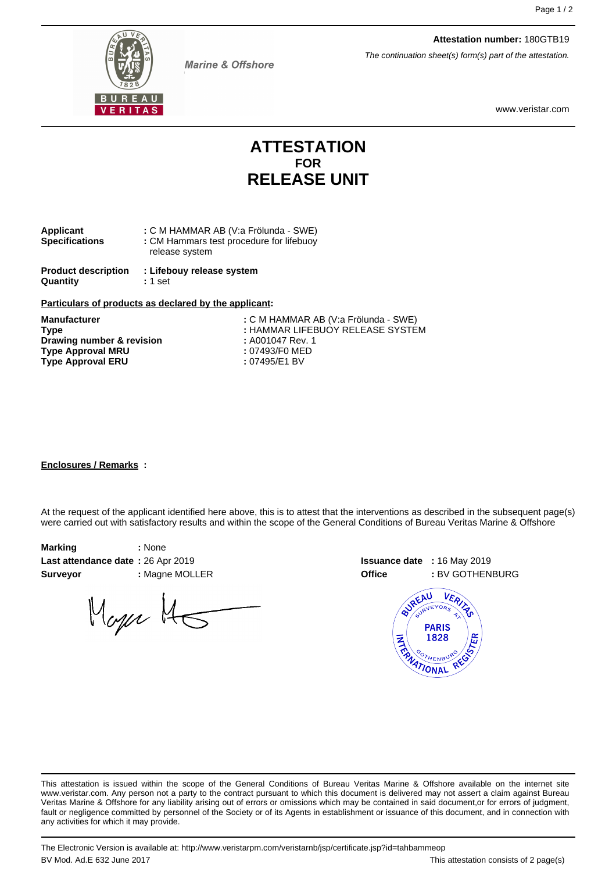

**Marine & Offshore** 

www.veristar.com

**Attestation number:** 180GTB19

The continuation sheet(s) form(s) part of the attestation.

## **ATTESTATION FOR RELEASE UNIT**

| Applicant             | : C M HAMMAR AB (V:a Frölunda - SWE)     |
|-----------------------|------------------------------------------|
| <b>Specifications</b> | : CM Hammars test procedure for lifebuoy |
|                       | release system                           |
|                       |                                          |

**Product description : Lifebouy release system Quantity :** 1 set

#### **Particulars of products as declared by the applicant:**

**Drawing number & revision Type Approval MRU :** 07493/F0 MED Type Approval ERU : 07495/E1 BV

**Manufacturer :** C M HAMMAR AB (V:a Frölunda - SWE) **Type :** HAMMAR LIFEBUOY RELEASE SYSTEM

#### **Enclosures / Remarks :**

At the request of the applicant identified here above, this is to attest that the interventions as described in the subsequent page(s) were carried out with satisfactory results and within the scope of the General Conditions of Bureau Veritas Marine & Offshore

| Marking                           | : None       |
|-----------------------------------|--------------|
| Last attendance date: 26 Apr 2019 |              |
| <b>Surveyor</b>                   | : Magne MOLL |

Mager 145





This attestation is issued within the scope of the General Conditions of Bureau Veritas Marine & Offshore available on the internet site www.veristar.com. Any person not a party to the contract pursuant to which this document is delivered may not assert a claim against Bureau Veritas Marine & Offshore for any liability arising out of errors or omissions which may be contained in said document,or for errors of judgment, fault or negligence committed by personnel of the Society or of its Agents in establishment or issuance of this document, and in connection with any activities for which it may provide.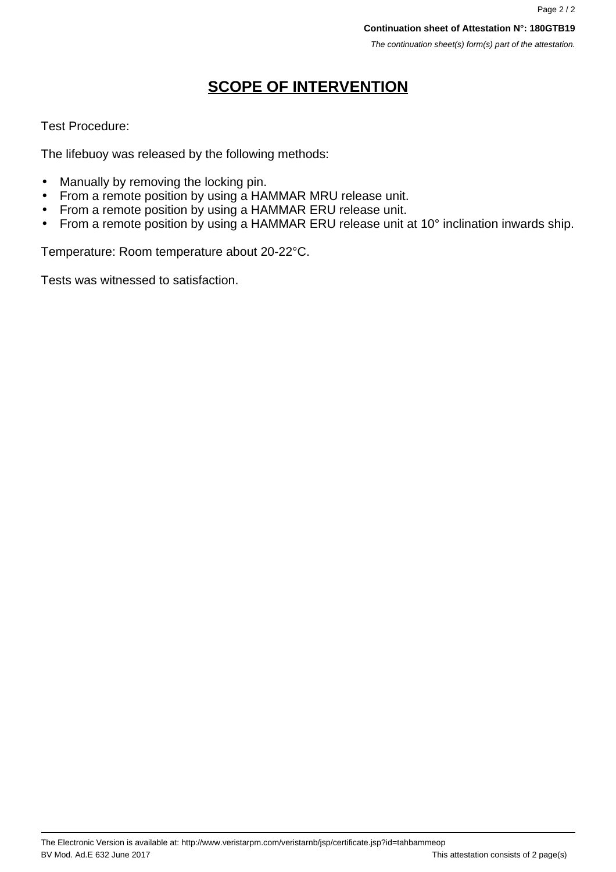# **SCOPE OF INTERVENTION**

## Test Procedure:

The lifebuoy was released by the following methods:

- Manually by removing the locking pin.
- From a remote position by using a HAMMAR MRU release unit.
- From a remote position by using a HAMMAR ERU release unit.
- From a remote position by using a HAMMAR ERU release unit at 10° inclination inwards ship.

Temperature: Room temperature about 20-22°C.

Tests was witnessed to satisfaction.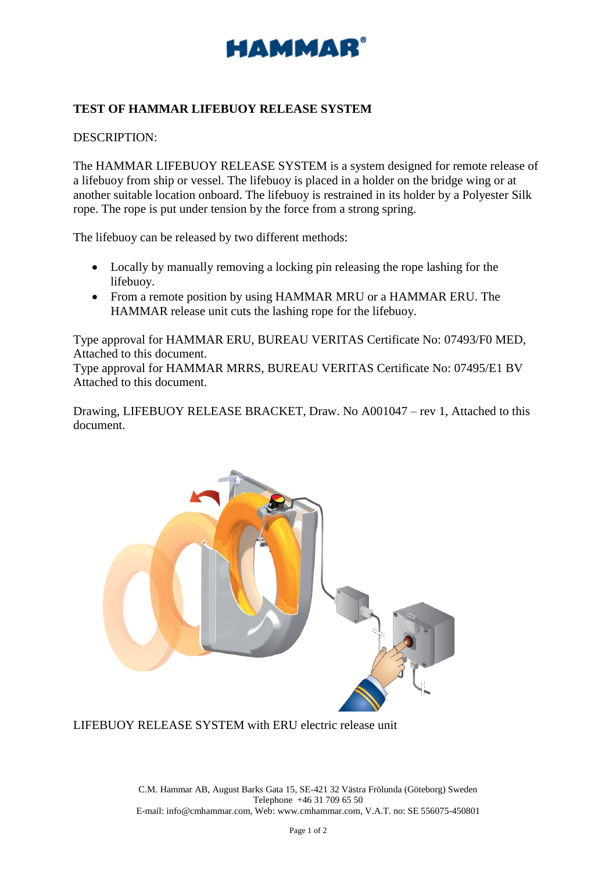

## **TEST OF HAMMAR LIFEBUOY RELEASE SYSTEM**

DESCRIPTION:

The HAMMAR LIFEBUOY RELEASE SYSTEM is a system designed for remote release of a lifebuoy from ship or vessel. The lifebuoy is placed in a holder on the bridge wing or at another suitable location onboard. The lifebuoy is restrained in its holder by a Polyester Silk rope. The rope is put under tension by the force from a strong spring.

The lifebuoy can be released by two different methods:

- Locally by manually removing a locking pin releasing the rope lashing for the lifebuoy.
- From a remote position by using HAMMAR MRU or a HAMMAR ERU. The HAMMAR release unit cuts the lashing rope for the lifebuoy.

Type approval for HAMMAR ERU, BUREAU VERITAS Certificate No: 07493/F0 MED, Attached to this document.

Type approval for HAMMAR MRRS, BUREAU VERITAS Certificate No: 07495/E1 BV Attached to this document.

Drawing, LIFEBUOY RELEASE BRACKET, Draw. No A001047 – rev 1, Attached to this document.



LIFEBUOY RELEASE SYSTEM with ERU electric release unit